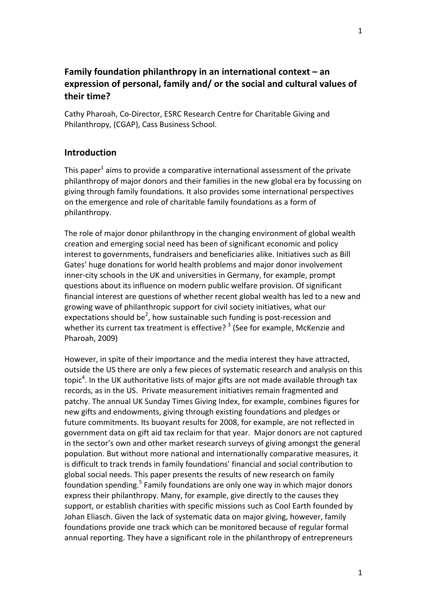# **Family foundation philanthropy in an international context – an expression of personal, family and/ or the social and cultural values of their time?**

Cathy Pharoah, Co‐Director, ESRC Research Centre for Charitable Giving and Philanthropy, (CGAP), Cass Business School.

## **Introduction**

This paper $1$  aims to provide a comparative international assessment of the private philanthropy of major donors and their families in the new global era by focussing on giving through family foundations. It also provides some international perspectives on the emergence and role of charitable family foundations as a form of philanthropy.

The role of major donor philanthropy in the changing environment of global wealth creation and emerging social need has been of significant economic and policy interest to governments, fundraisers and beneficiaries alike. Initiatives such as Bill Gates' huge donations for world health problems and major donor involvement inner-city schools in the UK and universities in Germany, for example, prompt questions about its influence on modern public welfare provision. Of significant financial interest are questions of whether recent global wealth has led to a new and growing wave of philanthropic support for civil society initiatives, what our expectations should be<sup>2</sup>, how sustainable such funding is post-recession and whether its current tax treatment is effective?<sup>3</sup> (See for example, McKenzie and Pharoah, 2009)

However, in spite of their importance and the media interest they have attracted, outside the US there are only a few pieces of systematic research and analysis on this topic<sup>4</sup>. In the UK authoritative lists of major gifts are not made available through tax records, as in the US. Private measurement initiatives remain fragmented and patchy. The annual UK Sunday Times Giving Index, for example, combines figures for new gifts and endowments, giving through existing foundations and pledges or future commitments. Its buoyant results for 2008, for example, are not reflected in government data on gift aid tax reclaim for that year. Major donors are not captured in the sector's own and other market research surveys of giving amongst the general population. But without more national and internationally comparative measures, it is difficult to track trends in family foundations' financial and social contribution to global social needs. This paper presents the results of new research on family foundation spending.<sup>5</sup> Family foundations are only one way in which major donors express their philanthropy. Many, for example, give directly to the causes they support, or establish charities with specific missions such as Cool Earth founded by Johan Eliasch. Given the lack of systematic data on major giving, however, family foundations provide one track which can be monitored because of regular formal annual reporting. They have a significant role in the philanthropy of entrepreneurs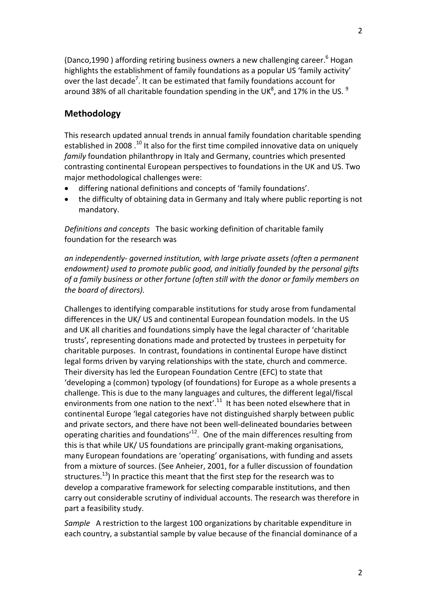(Danco,1990) affording retiring business owners a new challenging career.  $6$  Hogan highlights the establishment of family foundations as a popular US 'family activity' over the last decade<sup>7</sup>. It can be estimated that family foundations account for around 38% of all charitable foundation spending in the UK<sup>8</sup>, and 17% in the US.  $^{9}$ 

## **Methodology**

This research updated annual trends in annual family foundation charitable spending established in 2008 .<sup>10</sup> It also for the first time compiled innovative data on uniquely *family* foundation philanthropy in Italy and Germany, countries which presented contrasting continental European perspectives to foundations in the UK and US. Two major methodological challenges were:

- differing national definitions and concepts of 'family foundations'.
- the difficulty of obtaining data in Germany and Italy where public reporting is not mandatory.

*Definitions and concepts* The basic working definition of charitable family foundation for the research was

*an independently‐ governed institution, with large private assets (often a permanent endowment) used to promote public good, and initially founded by the personal gifts of a family business or other fortune (often still with the donor or family members on the board of directors).* 

Challenges to identifying comparable institutions for study arose from fundamental differences in the UK/ US and continental European foundation models. In the US and UK all charities and foundations simply have the legal character of 'charitable trusts', representing donations made and protected by trustees in perpetuity for charitable purposes. In contrast, foundations in continental Europe have distinct legal forms driven by varying relationships with the state, church and commerce. Their diversity has led the European Foundation Centre (EFC) to state that 'developing a (common) typology (of foundations) for Europe as a whole presents a challenge. This is due to the many languages and cultures, the different legal/fiscal environments from one nation to the next'. $11$  It has been noted elsewhere that in continental Europe 'legal categories have not distinguished sharply between public and private sectors, and there have not been well‐delineated boundaries between operating charities and foundations'12. One of the main differences resulting from this is that while UK/ US foundations are principally grant‐making organisations, many European foundations are 'operating' organisations, with funding and assets from a mixture of sources. (See Anheier, 2001, for a fuller discussion of foundation structures.<sup>13</sup>) In practice this meant that the first step for the research was to develop a comparative framework for selecting comparable institutions, and then carry out considerable scrutiny of individual accounts. The research was therefore in part a feasibility study.

*Sample* A restriction to the largest 100 organizations by charitable expenditure in each country, a substantial sample by value because of the financial dominance of a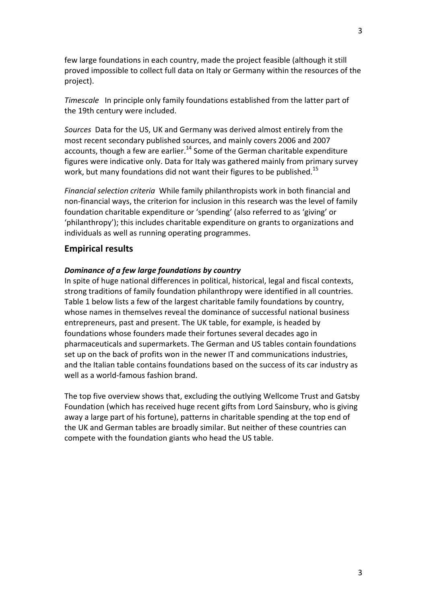few large foundations in each country, made the project feasible (although it still proved impossible to collect full data on Italy or Germany within the resources of the project).

*Timescale* In principle only family foundations established from the latter part of the 19th century were included.

*Sources* Data for the US, UK and Germany was derived almost entirely from the most recent secondary published sources, and mainly covers 2006 and 2007 accounts, though a few are earlier.<sup>14</sup> Some of the German charitable expenditure figures were indicative only. Data for Italy was gathered mainly from primary survey work, but many foundations did not want their figures to be published.<sup>15</sup>

*Financial selection criteria* While family philanthropists work in both financial and non‐financial ways, the criterion for inclusion in this research was the level of family foundation charitable expenditure or 'spending' (also referred to as 'giving' or 'philanthropy'); this includes charitable expenditure on grants to organizations and individuals as well as running operating programmes.

### **Empirical results**

#### *Dominance of a few large foundations by country*

In spite of huge national differences in political, historical, legal and fiscal contexts, strong traditions of family foundation philanthropy were identified in all countries. Table 1 below lists a few of the largest charitable family foundations by country, whose names in themselves reveal the dominance of successful national business entrepreneurs, past and present. The UK table, for example, is headed by foundations whose founders made their fortunes several decades ago in pharmaceuticals and supermarkets. The German and US tables contain foundations set up on the back of profits won in the newer IT and communications industries, and the Italian table contains foundations based on the success of its car industry as well as a world‐famous fashion brand.

The top five overview shows that, excluding the outlying Wellcome Trust and Gatsby Foundation (which has received huge recent gifts from Lord Sainsbury, who is giving away a large part of his fortune), patterns in charitable spending at the top end of the UK and German tables are broadly similar. But neither of these countries can compete with the foundation giants who head the US table.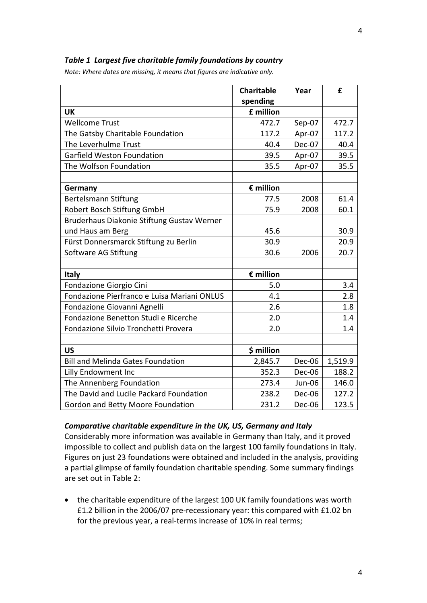### *Table 1 Largest five charitable family foundations by country*

*Note: Where dates are missing, it means that figures are indicative only.*

|                                             | <b>Charitable</b> | Year          | £       |
|---------------------------------------------|-------------------|---------------|---------|
|                                             | spending          |               |         |
| <b>UK</b>                                   | £ million         |               |         |
| <b>Wellcome Trust</b>                       | 472.7             | Sep-07        | 472.7   |
| The Gatsby Charitable Foundation            | 117.2             | Apr-07        | 117.2   |
| The Leverhulme Trust                        | 40.4              | Dec-07        | 40.4    |
| Garfield Weston Foundation                  | 39.5              | Apr-07        | 39.5    |
| The Wolfson Foundation                      | 35.5              | Apr-07        | 35.5    |
|                                             |                   |               |         |
| Germany                                     | € million         |               |         |
| Bertelsmann Stiftung                        | 77.5              | 2008          | 61.4    |
| Robert Bosch Stiftung GmbH                  | 75.9              | 2008          | 60.1    |
| Bruderhaus Diakonie Stiftung Gustav Werner  |                   |               |         |
| und Haus am Berg                            | 45.6              |               | 30.9    |
| Fürst Donnersmarck Stiftung zu Berlin       | 30.9              |               | 20.9    |
| Software AG Stiftung                        | 30.6              | 2006          | 20.7    |
|                                             |                   |               |         |
| <b>Italy</b>                                | € million         |               |         |
| Fondazione Giorgio Cini                     | 5.0               |               | 3.4     |
| Fondazione Pierfranco e Luisa Mariani ONLUS | 4.1               |               | 2.8     |
| Fondazione Giovanni Agnelli                 | 2.6               |               | 1.8     |
| Fondazione Benetton Studi e Ricerche        | 2.0               |               | 1.4     |
| Fondazione Silvio Tronchetti Provera        | 2.0               |               | 1.4     |
|                                             |                   |               |         |
| <b>US</b>                                   | \$ million        |               |         |
| <b>Bill and Melinda Gates Foundation</b>    | 2,845.7           | Dec-06        | 1,519.9 |
| Lilly Endowment Inc                         | 352.3             | Dec-06        | 188.2   |
| The Annenberg Foundation                    | 273.4             | <b>Jun-06</b> | 146.0   |
| The David and Lucile Packard Foundation     | 238.2             | Dec-06        | 127.2   |
| Gordon and Betty Moore Foundation           | 231.2             | Dec-06        | 123.5   |

#### *Comparative charitable expenditure in the UK, US, Germany and Italy*

Considerably more information was available in Germany than Italy, and it proved impossible to collect and publish data on the largest 100 family foundations in Italy. Figures on just 23 foundations were obtained and included in the analysis, providing a partial glimpse of family foundation charitable spending. Some summary findings are set out in Table 2:

• the charitable expenditure of the largest 100 UK family foundations was worth £1.2 billion in the 2006/07 pre‐recessionary year: this compared with £1.02 bn for the previous year, a real-terms increase of 10% in real terms;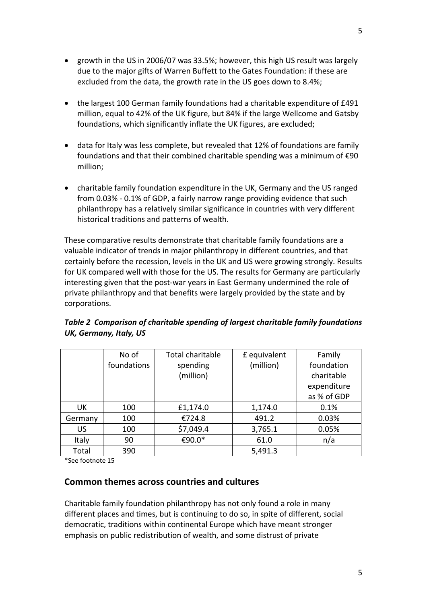5

- growth in the US in 2006/07 was 33.5%; however, this high US result was largely due to the major gifts of Warren Buffett to the Gates Foundation: if these are excluded from the data, the growth rate in the US goes down to 8.4%;
- the largest 100 German family foundations had a charitable expenditure of £491 million, equal to 42% of the UK figure, but 84% if the large Wellcome and Gatsby foundations, which significantly inflate the UK figures, are excluded;
- data for Italy was less complete, but revealed that 12% of foundations are family foundations and that their combined charitable spending was a minimum of €90 million;
- charitable family foundation expenditure in the UK, Germany and the US ranged from 0.03% ‐ 0.1% of GDP, a fairly narrow range providing evidence that such philanthropy has a relatively similar significance in countries with very different historical traditions and patterns of wealth.

These comparative results demonstrate that charitable family foundations are a valuable indicator of trends in major philanthropy in different countries, and that certainly before the recession, levels in the UK and US were growing strongly. Results for UK compared well with those for the US. The results for Germany are particularly interesting given that the post‐war years in East Germany undermined the role of private philanthropy and that benefits were largely provided by the state and by corporations.

|         | No of       | Total charitable | £ equivalent | Family      |
|---------|-------------|------------------|--------------|-------------|
|         | foundations | spending         | (million)    | foundation  |
|         |             | (million)        |              | charitable  |
|         |             |                  |              | expenditure |
|         |             |                  |              | as % of GDP |
| UK.     | 100         | £1,174.0         | 1,174.0      | 0.1%        |
| Germany | 100         | €724.8           | 491.2        | 0.03%       |
| US      | 100         | \$7,049.4        | 3,765.1      | 0.05%       |
| Italy   | 90          | €90.0*           | 61.0         | n/a         |
| Total   | 390         |                  | 5,491.3      |             |

*Table 2 Comparison of charitable spending of largest charitable family foundations UK, Germany, Italy, US*

\*See footnote 15

## **Common themes across countries and cultures**

Charitable family foundation philanthropy has not only found a role in many different places and times, but is continuing to do so, in spite of different, social democratic, traditions within continental Europe which have meant stronger emphasis on public redistribution of wealth, and some distrust of private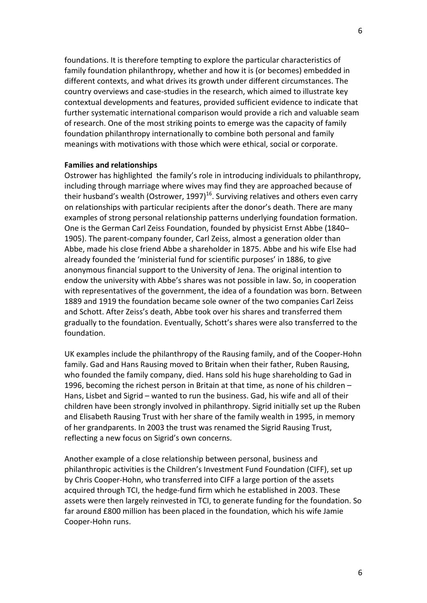foundations. It is therefore tempting to explore the particular characteristics of family foundation philanthropy, whether and how it is (or becomes) embedded in different contexts, and what drives its growth under different circumstances. The country overviews and case‐studies in the research, which aimed to illustrate key contextual developments and features, provided sufficient evidence to indicate that further systematic international comparison would provide a rich and valuable seam of research. One of the most striking points to emerge was the capacity of family foundation philanthropy internationally to combine both personal and family meanings with motivations with those which were ethical, social or corporate.

#### **Families and relationships**

Ostrower has highlighted the family's role in introducing individuals to philanthropy, including through marriage where wives may find they are approached because of their husband's wealth (Ostrower, 1997)<sup>16</sup>. Surviving relatives and others even carry on relationships with particular recipients after the donor's death. There are many examples of strong personal relationship patterns underlying foundation formation. One is the German Carl Zeiss Foundation, founded by physicist Ernst Abbe (1840– 1905). The parent-company founder, Carl Zeiss, almost a generation older than Abbe, made his close friend Abbe a shareholder in 1875. Abbe and his wife Else had already founded the 'ministerial fund for scientific purposes' in 1886, to give anonymous financial support to the University of Jena. The original intention to endow the university with Abbe's shares was not possible in law. So, in cooperation with representatives of the government, the idea of a foundation was born. Between 1889 and 1919 the foundation became sole owner of the two companies Carl Zeiss and Schott. After Zeiss's death, Abbe took over his shares and transferred them gradually to the foundation. Eventually, Schott's shares were also transferred to the foundation.

UK examples include the philanthropy of the Rausing family, and of the Cooper‐Hohn family. Gad and Hans Rausing moved to Britain when their father, Ruben Rausing, who founded the family company, died. Hans sold his huge shareholding to Gad in 1996, becoming the richest person in Britain at that time, as none of his children – Hans, Lisbet and Sigrid – wanted to run the business. Gad, his wife and all of their children have been strongly involved in philanthropy. Sigrid initially set up the Ruben and Elisabeth Rausing Trust with her share of the family wealth in 1995, in memory of her grandparents. In 2003 the trust was renamed the Sigrid Rausing Trust, reflecting a new focus on Sigrid's own concerns.

Another example of a close relationship between personal, business and philanthropic activities is the Children's Investment Fund Foundation (CIFF), set up by Chris Cooper‐Hohn, who transferred into CIFF a large portion of the assets acquired through TCI, the hedge‐fund firm which he established in 2003. These assets were then largely reinvested in TCI, to generate funding for the foundation. So far around £800 million has been placed in the foundation, which his wife Jamie Cooper‐Hohn runs.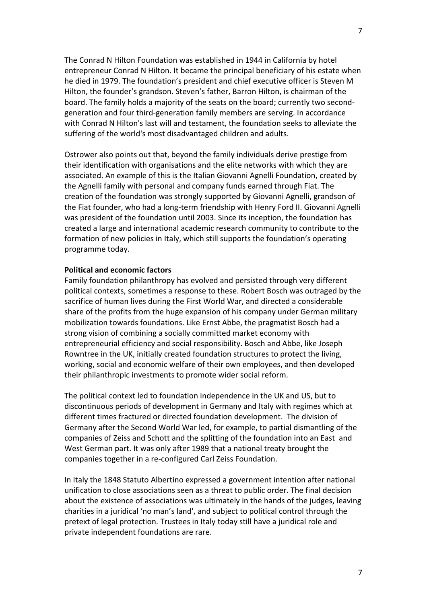The Conrad N Hilton Foundation was established in 1944 in California by hotel entrepreneur Conrad N Hilton. It became the principal beneficiary of his estate when he died in 1979. The foundation's president and chief executive officer is Steven M Hilton, the founder's grandson. Steven's father, Barron Hilton, is chairman of the board. The family holds a majority of the seats on the board; currently two second‐ generation and four third‐generation family members are serving. In accordance with Conrad N Hilton's last will and testament, the foundation seeks to alleviate the suffering of the world's most disadvantaged children and adults.

Ostrower also points out that, beyond the family individuals derive prestige from their identification with organisations and the elite networks with which they are associated. An example of this is the Italian Giovanni Agnelli Foundation, created by the Agnelli family with personal and company funds earned through Fiat. The creation of the foundation was strongly supported by Giovanni Agnelli, grandson of the Fiat founder, who had a long‐term friendship with Henry Ford II. Giovanni Agnelli was president of the foundation until 2003. Since its inception, the foundation has created a large and international academic research community to contribute to the formation of new policies in Italy, which still supports the foundation's operating programme today.

#### **Political and economic factors**

Family foundation philanthropy has evolved and persisted through very different political contexts, sometimes a response to these. Robert Bosch was outraged by the sacrifice of human lives during the First World War, and directed a considerable share of the profits from the huge expansion of his company under German military mobilization towards foundations. Like Ernst Abbe, the pragmatist Bosch had a strong vision of combining a socially committed market economy with entrepreneurial efficiency and social responsibility. Bosch and Abbe, like Joseph Rowntree in the UK, initially created foundation structures to protect the living, working, social and economic welfare of their own employees, and then developed their philanthropic investments to promote wider social reform.

The political context led to foundation independence in the UK and US, but to discontinuous periods of development in Germany and Italy with regimes which at different times fractured or directed foundation development. The division of Germany after the Second World War led, for example, to partial dismantling of the companies of Zeiss and Schott and the splitting of the foundation into an East and West German part. It was only after 1989 that a national treaty brought the companies together in a re‐configured Carl Zeiss Foundation.

In Italy the 1848 Statuto Albertino expressed a government intention after national unification to close associations seen as a threat to public order. The final decision about the existence of associations was ultimately in the hands of the judges, leaving charities in a juridical 'no man's land', and subject to political control through the pretext of legal protection. Trustees in Italy today still have a juridical role and private independent foundations are rare.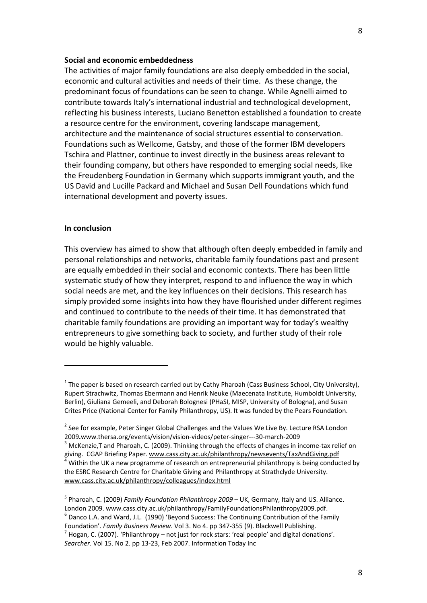#### **Social and economic embeddedness**

The activities of major family foundations are also deeply embedded in the social, economic and cultural activities and needs of their time. As these change, the predominant focus of foundations can be seen to change. While Agnelli aimed to contribute towards Italy's international industrial and technological development, reflecting his business interests, Luciano Benetton established a foundation to create a resource centre for the environment, covering landscape management, architecture and the maintenance of social structures essential to conservation. Foundations such as Wellcome, Gatsby, and those of the former IBM developers Tschira and Plattner, continue to invest directly in the business areas relevant to their founding company, but others have responded to emerging social needs, like the Freudenberg Foundation in Germany which supports immigrant youth, and the US David and Lucille Packard and Michael and Susan Dell Foundations which fund international development and poverty issues.

#### **In conclusion**

This overview has aimed to show that although often deeply embedded in family and personal relationships and networks, charitable family foundations past and present are equally embedded in their social and economic contexts. There has been little systematic study of how they interpret, respond to and influence the way in which social needs are met, and the key influences on their decisions. This research has simply provided some insights into how they have flourished under different regimes and continued to contribute to the needs of their time. It has demonstrated that charitable family foundations are providing an important way for today's wealthy entrepreneurs to give something back to society, and further study of their role would be highly valuable.

 $1$  The paper is based on research carried out by Cathy Pharoah (Cass Business School, City University), Rupert Strachwitz, Thomas Ebermann and Henrik Neuke (Maecenata Institute, Humboldt University, Berlin), Giuliana Gemeeli, and Deborah Bolognesi (PHaSI, MISP, University of Bologna), and Susan Crites Price (National Center for Family Philanthropy, US). It was funded by the Pears Foundation.

<sup>&</sup>lt;sup>2</sup> See for example, Peter Singer Global Challenges and the Values We Live By. Lecture RSA London 2009.www.thersa.org/events/vision/vision-videos/peter-singer---30-march-2009<br><sup>3</sup> McKenzie,T and Pharoah, C. (2009). Thinking through the effects of changes in income-tax relief on

giving. CGAP Briefing Paper. www.cass.city.ac.uk/philanthropy/newsevents/TaxAndGiving.pdf 4 Within the UK a new programme of research on entrepreneurial philanthropy is being conducted by the ESRC Research Centre for Charitable Giving and Philanthropy at Strathclyde University. www.cass.city.ac.uk/philanthropy/colleagues/index.html

<sup>5</sup> Pharoah, C. (2009) *Family Foundation Philanthropy 2009* – UK, Germany, Italy and US. Alliance. London 2009. www.cass.city.ac.uk/philanthropy/FamilyFoundationsPhilanthropy2009.pdf.<br>
<sup>6</sup> Danco L.A. and Ward, J.L. (1990) 'Beyond Success: The Continuing Contribution of the Family

Foundation'. *Family Business Review*. Vol 3. No 4. pp <sup>347</sup>‐<sup>355</sup> (9). Blackwell Publishing. <sup>7</sup> Hogan, C. (2007). 'Philanthropy – not just for rock stars: 'real people' and digital donations'. *Searcher*. Vol 15. No 2. pp 13‐23, Feb 2007. Information Today Inc